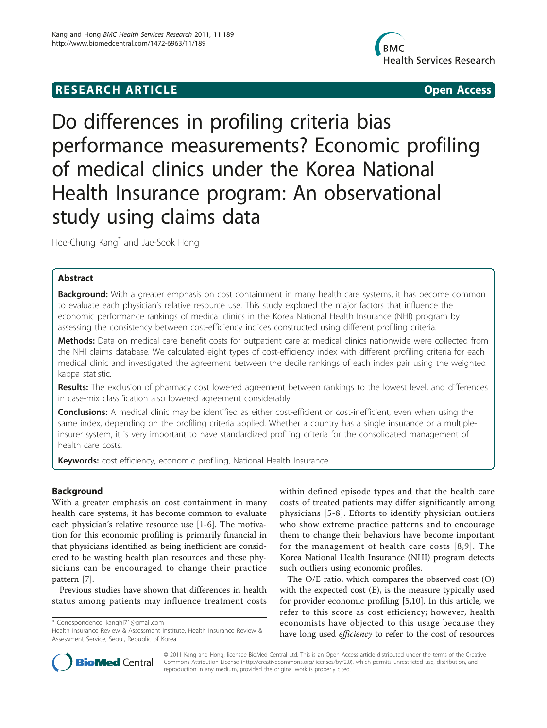## **RESEARCH ARTICLE Example 2008 CONSIDERING CONSIDERING CONSIDERING CONSIDERING CONSIDERING CONSIDERING CONSIDERING CONSIDERING CONSIDERING CONSIDERING CONSIDERING CONSIDERING CONSIDERING CONSIDERING CONSIDERING CONSIDE**



# Do differences in profiling criteria bias performance measurements? Economic profiling of medical clinics under the Korea National Health Insurance program: An observational study using claims data

Hee-Chung Kang\* and Jae-Seok Hong

### Abstract

Background: With a greater emphasis on cost containment in many health care systems, it has become common to evaluate each physician's relative resource use. This study explored the major factors that influence the economic performance rankings of medical clinics in the Korea National Health Insurance (NHI) program by assessing the consistency between cost-efficiency indices constructed using different profiling criteria.

Methods: Data on medical care benefit costs for outpatient care at medical clinics nationwide were collected from the NHI claims database. We calculated eight types of cost-efficiency index with different profiling criteria for each medical clinic and investigated the agreement between the decile rankings of each index pair using the weighted kappa statistic.

Results: The exclusion of pharmacy cost lowered agreement between rankings to the lowest level, and differences in case-mix classification also lowered agreement considerably.

Conclusions: A medical clinic may be identified as either cost-efficient or cost-inefficient, even when using the same index, depending on the profiling criteria applied. Whether a country has a single insurance or a multipleinsurer system, it is very important to have standardized profiling criteria for the consolidated management of health care costs.

Keywords: cost efficiency, economic profiling, National Health Insurance

#### Background

With a greater emphasis on cost containment in many health care systems, it has become common to evaluate each physician's relative resource use [\[1](#page-7-0)-[6\]](#page-7-0). The motivation for this economic profiling is primarily financial in that physicians identified as being inefficient are considered to be wasting health plan resources and these physicians can be encouraged to change their practice pattern [\[7](#page-7-0)].

Previous studies have shown that differences in health status among patients may influence treatment costs

\* Correspondence: [kanghj71@gmail.com](mailto:kanghj71@gmail.com)

within defined episode types and that the health care costs of treated patients may differ significantly among physicians [\[5-8\]](#page-7-0). Efforts to identify physician outliers who show extreme practice patterns and to encourage them to change their behaviors have become important for the management of health care costs [[8](#page-7-0),[9](#page-7-0)]. The Korea National Health Insurance (NHI) program detects such outliers using economic profiles.

The O/E ratio, which compares the observed cost (O) with the expected cost (E), is the measure typically used for provider economic profiling [\[5,10](#page-7-0)]. In this article, we refer to this score as cost efficiency; however, health economists have objected to this usage because they have long used efficiency to refer to the cost of resources



© 2011 Kang and Hong; licensee BioMed Central Ltd. This is an Open Access article distributed under the terms of the Creative Commons Attribution License [\(http://creativecommons.org/licenses/by/2.0](http://creativecommons.org/licenses/by/2.0)), which permits unrestricted use, distribution, and reproduction in any medium, provided the original work is properly cited.

Health Insurance Review & Assessment Institute, Health Insurance Review & Assessment Service, Seoul, Republic of Korea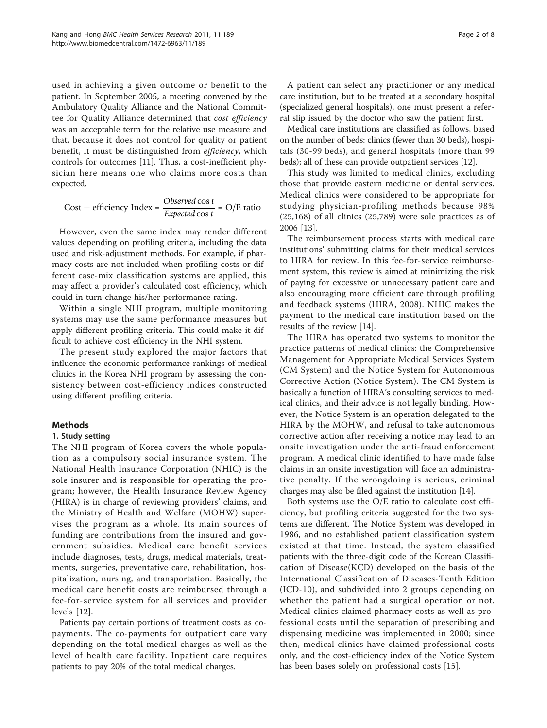used in achieving a given outcome or benefit to the patient. In September 2005, a meeting convened by the Ambulatory Quality Alliance and the National Committee for Quality Alliance determined that cost efficiency was an acceptable term for the relative use measure and that, because it does not control for quality or patient benefit, it must be distinguished from efficiency, which controls for outcomes [[11\]](#page-7-0). Thus, a cost-inefficient physician here means one who claims more costs than expected.

Cost – efficiency Index = 
$$
\frac{Observed \cos t}{Expected \cos t} = O/E \text{ ratio}
$$

However, even the same index may render different values depending on profiling criteria, including the data used and risk-adjustment methods. For example, if pharmacy costs are not included when profiling costs or different case-mix classification systems are applied, this may affect a provider's calculated cost efficiency, which could in turn change his/her performance rating.

Within a single NHI program, multiple monitoring systems may use the same performance measures but apply different profiling criteria. This could make it difficult to achieve cost efficiency in the NHI system.

The present study explored the major factors that influence the economic performance rankings of medical clinics in the Korea NHI program by assessing the consistency between cost-efficiency indices constructed using different profiling criteria.

#### Methods

#### 1. Study setting

The NHI program of Korea covers the whole population as a compulsory social insurance system. The National Health Insurance Corporation (NHIC) is the sole insurer and is responsible for operating the program; however, the Health Insurance Review Agency (HIRA) is in charge of reviewing providers' claims, and the Ministry of Health and Welfare (MOHW) supervises the program as a whole. Its main sources of funding are contributions from the insured and government subsidies. Medical care benefit services include diagnoses, tests, drugs, medical materials, treatments, surgeries, preventative care, rehabilitation, hospitalization, nursing, and transportation. Basically, the medical care benefit costs are reimbursed through a fee-for-service system for all services and provider levels [[12\]](#page-7-0).

Patients pay certain portions of treatment costs as copayments. The co-payments for outpatient care vary depending on the total medical charges as well as the level of health care facility. Inpatient care requires patients to pay 20% of the total medical charges.

A patient can select any practitioner or any medical care institution, but to be treated at a secondary hospital (specialized general hospitals), one must present a referral slip issued by the doctor who saw the patient first.

Medical care institutions are classified as follows, based on the number of beds: clinics (fewer than 30 beds), hospitals (30-99 beds), and general hospitals (more than 99 beds); all of these can provide outpatient services [\[12\]](#page-7-0).

This study was limited to medical clinics, excluding those that provide eastern medicine or dental services. Medical clinics were considered to be appropriate for studying physician-profiling methods because 98% (25,168) of all clinics (25,789) were sole practices as of 2006 [[13](#page-7-0)].

The reimbursement process starts with medical care institutions' submitting claims for their medical services to HIRA for review. In this fee-for-service reimbursement system, this review is aimed at minimizing the risk of paying for excessive or unnecessary patient care and also encouraging more efficient care through profiling and feedback systems (HIRA, 2008). NHIC makes the payment to the medical care institution based on the results of the review [\[14](#page-7-0)].

The HIRA has operated two systems to monitor the practice patterns of medical clinics: the Comprehensive Management for Appropriate Medical Services System (CM System) and the Notice System for Autonomous Corrective Action (Notice System). The CM System is basically a function of HIRA's consulting services to medical clinics, and their advice is not legally binding. However, the Notice System is an operation delegated to the HIRA by the MOHW, and refusal to take autonomous corrective action after receiving a notice may lead to an onsite investigation under the anti-fraud enforcement program. A medical clinic identified to have made false claims in an onsite investigation will face an administrative penalty. If the wrongdoing is serious, criminal charges may also be filed against the institution [[14\]](#page-7-0).

Both systems use the O/E ratio to calculate cost efficiency, but profiling criteria suggested for the two systems are different. The Notice System was developed in 1986, and no established patient classification system existed at that time. Instead, the system classified patients with the three-digit code of the Korean Classification of Disease(KCD) developed on the basis of the International Classification of Diseases-Tenth Edition (ICD-10), and subdivided into 2 groups depending on whether the patient had a surgical operation or not. Medical clinics claimed pharmacy costs as well as professional costs until the separation of prescribing and dispensing medicine was implemented in 2000; since then, medical clinics have claimed professional costs only, and the cost-efficiency index of the Notice System has been bases solely on professional costs [[15](#page-7-0)].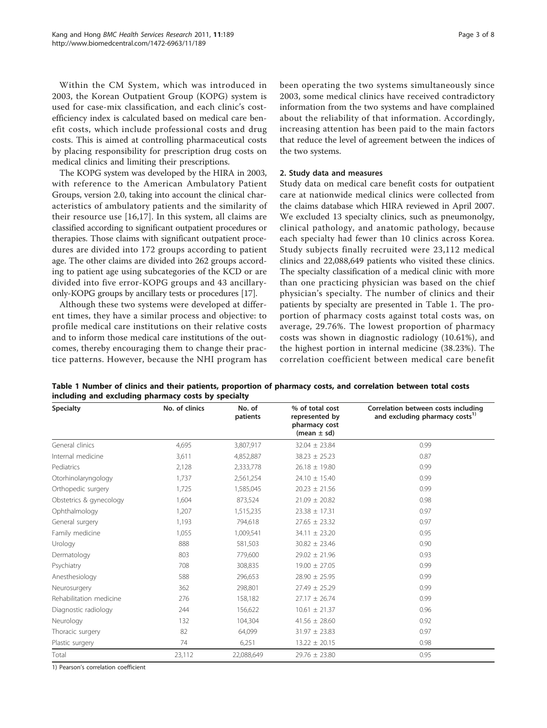<span id="page-2-0"></span>Within the CM System, which was introduced in 2003, the Korean Outpatient Group (KOPG) system is used for case-mix classification, and each clinic's costefficiency index is calculated based on medical care benefit costs, which include professional costs and drug costs. This is aimed at controlling pharmaceutical costs by placing responsibility for prescription drug costs on medical clinics and limiting their prescriptions.

The KOPG system was developed by the HIRA in 2003, with reference to the American Ambulatory Patient Groups, version 2.0, taking into account the clinical characteristics of ambulatory patients and the similarity of their resource use [[16,17\]](#page-7-0). In this system, all claims are classified according to significant outpatient procedures or therapies. Those claims with significant outpatient procedures are divided into 172 groups according to patient age. The other claims are divided into 262 groups according to patient age using subcategories of the KCD or are divided into five error-KOPG groups and 43 ancillaryonly-KOPG groups by ancillary tests or procedures [[17](#page-7-0)].

Although these two systems were developed at different times, they have a similar process and objective: to profile medical care institutions on their relative costs and to inform those medical care institutions of the outcomes, thereby encouraging them to change their practice patterns. However, because the NHI program has been operating the two systems simultaneously since 2003, some medical clinics have received contradictory information from the two systems and have complained about the reliability of that information. Accordingly, increasing attention has been paid to the main factors that reduce the level of agreement between the indices of the two systems.

#### 2. Study data and measures

Study data on medical care benefit costs for outpatient care at nationwide medical clinics were collected from the claims database which HIRA reviewed in April 2007. We excluded 13 specialty clinics, such as pneumonolgy, clinical pathology, and anatomic pathology, because each specialty had fewer than 10 clinics across Korea. Study subjects finally recruited were 23,112 medical clinics and 22,088,649 patients who visited these clinics. The specialty classification of a medical clinic with more than one practicing physician was based on the chief physician's specialty. The number of clinics and their patients by specialty are presented in Table 1. The proportion of pharmacy costs against total costs was, on average, 29.76%. The lowest proportion of pharmacy costs was shown in diagnostic radiology (10.61%), and the highest portion in internal medicine (38.23%). The correlation coefficient between medical care benefit

| Table 1 Number of clinics and their patients, proportion of pharmacy costs, and correlation between total costs |  |
|-----------------------------------------------------------------------------------------------------------------|--|
| including and excluding pharmacy costs by specialty                                                             |  |

| <b>Specialty</b>        | No. of clinics | No. of<br>patients | % of total cost<br>represented by<br>pharmacy cost<br>(mean $\pm$ sd) | Correlation between costs including<br>and excluding pharmacy costs" |
|-------------------------|----------------|--------------------|-----------------------------------------------------------------------|----------------------------------------------------------------------|
| General clinics         | 4,695          | 3,807,917          | $32.04 \pm 23.84$                                                     | 0.99                                                                 |
| Internal medicine       | 3,611          | 4,852,887          | $38.23 \pm 25.23$                                                     | 0.87                                                                 |
| Pediatrics              | 2,128          | 2,333,778          | $26.18 \pm 19.80$                                                     | 0.99                                                                 |
| Otorhinolaryngology     | 1,737          | 2,561,254          | $24.10 \pm 15.40$                                                     | 0.99                                                                 |
| Orthopedic surgery      | 1,725          | 1,585,045          | $20.23 \pm 21.56$                                                     | 0.99                                                                 |
| Obstetrics & gynecology | 1,604          | 873,524            | $21.09 \pm 20.82$                                                     | 0.98                                                                 |
| Ophthalmology           | 1,207          | 1,515,235          | $23.38 \pm 17.31$                                                     | 0.97                                                                 |
| General surgery         | 1,193          | 794,618            | $27.65 \pm 23.32$                                                     | 0.97                                                                 |
| Family medicine         | 1,055          | 1,009,541          | $34.11 \pm 23.20$                                                     | 0.95                                                                 |
| Urology                 | 888            | 581,503            | $30.82 \pm 23.46$                                                     | 0.90                                                                 |
| Dermatology             | 803            | 779,600            | $29.02 \pm 21.96$                                                     | 0.93                                                                 |
| Psychiatry              | 708            | 308,835            | $19.00 \pm 27.05$                                                     | 0.99                                                                 |
| Anesthesiology          | 588            | 296,653            | $28.90 \pm 25.95$                                                     | 0.99                                                                 |
| Neurosurgery            | 362            | 298,801            | $27.49 \pm 25.29$                                                     | 0.99                                                                 |
| Rehabilitation medicine | 276            | 158,182            | $27.17 \pm 26.74$                                                     | 0.99                                                                 |
| Diagnostic radiology    | 244            | 156,622            | $10.61 \pm 21.37$                                                     | 0.96                                                                 |
| Neurology               | 132            | 104,304            | $41.56 \pm 28.60$                                                     | 0.92                                                                 |
| Thoracic surgery        | 82             | 64,099             | $31.97 \pm 23.83$                                                     | 0.97                                                                 |
| Plastic surgery         | 74             | 6,251              | $13.22 \pm 20.15$                                                     | 0.98                                                                 |
| Total                   | 23,112         | 22,088,649         | $29.76 \pm 23.80$                                                     | 0.95                                                                 |

1) Pearson's correlation coefficient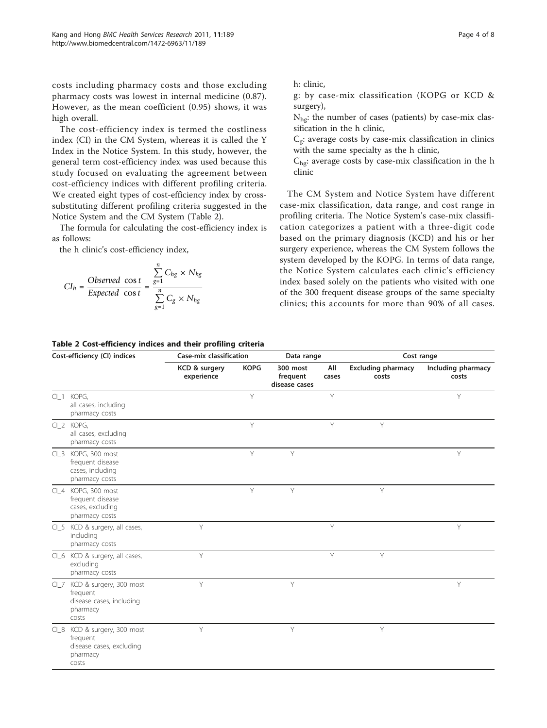<span id="page-3-0"></span>costs including pharmacy costs and those excluding pharmacy costs was lowest in internal medicine (0.87). However, as the mean coefficient (0.95) shows, it was high overall.

The cost-efficiency index is termed the costliness index (CI) in the CM System, whereas it is called the Y Index in the Notice System. In this study, however, the general term cost-efficiency index was used because this study focused on evaluating the agreement between cost-efficiency indices with different profiling criteria. We created eight types of cost-efficiency index by crosssubstituting different profiling criteria suggested in the Notice System and the CM System (Table 2).

The formula for calculating the cost-efficiency index is as follows:

the h clinic's cost-efficiency index,

$$
CI_h = \frac{Observed \cos t}{Expected \cos t} = \frac{\sum_{g=1}^{n} C_{hg} \times N_{hg}}{\sum_{g=1}^{n} C_g \times N_{hg}}
$$

#### Table 2 Cost-efficiency indices and their profiling criteria

h: clinic,

g: by case-mix classification (KOPG or KCD & surgery),

 $N<sub>hg</sub>$ : the number of cases (patients) by case-mix classification in the h clinic,

 $C_{\rm g}$ : average costs by case-mix classification in clinics with the same specialty as the h clinic,

Chg: average costs by case-mix classification in the h clinic

The CM System and Notice System have different case-mix classification, data range, and cost range in profiling criteria. The Notice System's case-mix classification categorizes a patient with a three-digit code based on the primary diagnosis (KCD) and his or her surgery experience, whereas the CM System follows the system developed by the KOPG. In terms of data range, the Notice System calculates each clinic's efficiency index based solely on the patients who visited with one of the 300 frequent disease groups of the same specialty clinics; this accounts for more than 90% of all cases.

| Cost-efficiency (CI) indices |                                                                                           | Case-mix classification     | Data range  |                                       | Cost range   |                                    |                             |
|------------------------------|-------------------------------------------------------------------------------------------|-----------------------------|-------------|---------------------------------------|--------------|------------------------------------|-----------------------------|
|                              |                                                                                           | KCD & surgery<br>experience | <b>KOPG</b> | 300 most<br>frequent<br>disease cases | All<br>cases | <b>Excluding pharmacy</b><br>costs | Including pharmacy<br>costs |
|                              | CI 1 KOPG,<br>all cases, including<br>pharmacy costs                                      |                             | Y           |                                       | Y            |                                    | Y                           |
|                              | CI 2 KOPG,<br>all cases, excluding<br>pharmacy costs                                      |                             | Y           |                                       | Y            | Y                                  |                             |
|                              | CI_3 KOPG, 300 most<br>frequent disease<br>cases, including<br>pharmacy costs             |                             | Y           | Y                                     |              |                                    | Y                           |
|                              | CI_4 KOPG, 300 most<br>frequent disease<br>cases, excluding<br>pharmacy costs             |                             | Y           | Y                                     |              | Y                                  |                             |
|                              | CI_5 KCD & surgery, all cases,<br>including<br>pharmacy costs                             | Y                           |             |                                       | Y            |                                    | Y                           |
|                              | CI_6 KCD & surgery, all cases,<br>excluding<br>pharmacy costs                             | Y                           |             |                                       | Y            | Y                                  |                             |
| $Cl$ 7                       | KCD & surgery, 300 most<br>frequent<br>disease cases, including<br>pharmacy<br>costs      | Y                           |             | Y                                     |              |                                    | Y                           |
|                              | CI_8 KCD & surgery, 300 most<br>frequent<br>disease cases, excluding<br>pharmacy<br>costs | Y                           |             | Y                                     |              | Y                                  |                             |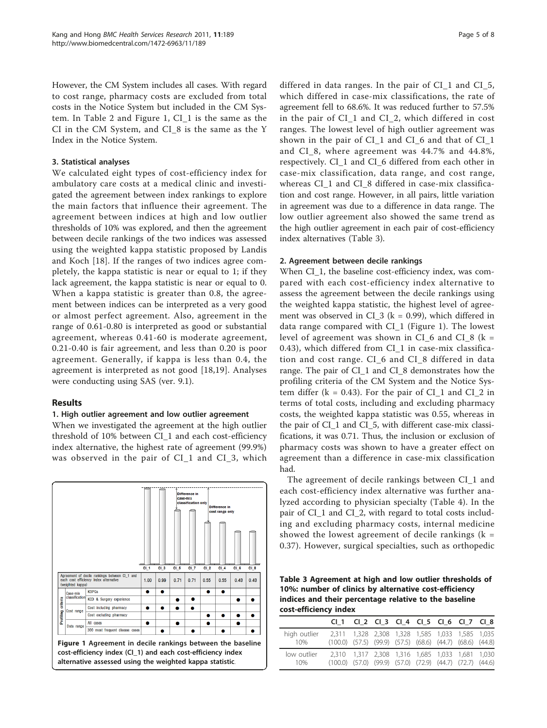However, the CM System includes all cases. With regard to cost range, pharmacy costs are excluded from total costs in the Notice System but included in the CM System. In Table [2](#page-3-0) and Figure 1, CI\_1 is the same as the CI in the CM System, and CI\_8 is the same as the Y Index in the Notice System.

#### 3. Statistical analyses

We calculated eight types of cost-efficiency index for ambulatory care costs at a medical clinic and investigated the agreement between index rankings to explore the main factors that influence their agreement. The agreement between indices at high and low outlier thresholds of 10% was explored, and then the agreement between decile rankings of the two indices was assessed using the weighted kappa statistic proposed by Landis and Koch [[18](#page-7-0)]. If the ranges of two indices agree completely, the kappa statistic is near or equal to 1; if they lack agreement, the kappa statistic is near or equal to 0. When a kappa statistic is greater than 0.8, the agreement between indices can be interpreted as a very good or almost perfect agreement. Also, agreement in the range of 0.61-0.80 is interpreted as good or substantial agreement, whereas 0.41-60 is moderate agreement, 0.21-0.40 is fair agreement, and less than 0.20 is poor agreement. Generally, if kappa is less than 0.4, the agreement is interpreted as not good [[18](#page-7-0),[19\]](#page-7-0). Analyses were conducting using SAS (ver. 9.1).

#### Results

#### 1. High outlier agreement and low outlier agreement

When we investigated the agreement at the high outlier threshold of 10% between CI\_1 and each cost-efficiency index alternative, the highest rate of agreement (99.9%) was observed in the pair of CI\_1 and CI\_3, which



differed in data ranges. In the pair of CI\_1 and CI\_5, which differed in case-mix classifications, the rate of agreement fell to 68.6%. It was reduced further to 57.5% in the pair of CI\_1 and CI\_2, which differed in cost ranges. The lowest level of high outlier agreement was shown in the pair of CI\_1 and CI\_6 and that of CI\_1 and CI\_8, where agreement was 44.7% and 44.8%, respectively. CI\_1 and CI\_6 differed from each other in case-mix classification, data range, and cost range, whereas CI\_1 and CI\_8 differed in case-mix classification and cost range. However, in all pairs, little variation in agreement was due to a difference in data range. The low outlier agreement also showed the same trend as the high outlier agreement in each pair of cost-efficiency index alternatives (Table 3).

#### 2. Agreement between decile rankings

When CI<sub>1</sub>, the baseline cost-efficiency index, was compared with each cost-efficiency index alternative to assess the agreement between the decile rankings using the weighted kappa statistic, the highest level of agreement was observed in CI\_3 ( $k = 0.99$ ), which differed in data range compared with CI\_1 (Figure 1). The lowest level of agreement was shown in CI\_6 and CI\_8 ( $k =$ 0.43), which differed from CI\_1 in case-mix classification and cost range. CI\_6 and CI\_8 differed in data range. The pair of CI\_1 and CI\_8 demonstrates how the profiling criteria of the CM System and the Notice System differ ( $k = 0.43$ ). For the pair of CI\_1 and CI\_2 in terms of total costs, including and excluding pharmacy costs, the weighted kappa statistic was 0.55, whereas in the pair of CI\_1 and CI\_5, with different case-mix classifications, it was 0.71. Thus, the inclusion or exclusion of pharmacy costs was shown to have a greater effect on agreement than a difference in case-mix classification had.

The agreement of decile rankings between CI\_1 and each cost-efficiency index alternative was further analyzed according to physician specialty (Table [4\)](#page-5-0). In the pair of CI\_1 and CI\_2, with regard to total costs including and excluding pharmacy costs, internal medicine showed the lowest agreement of decile rankings  $(k =$ 0.37). However, surgical specialties, such as orthopedic

Table 3 Agreement at high and low outlier thresholds of 10%: number of clinics by alternative cost-efficiency indices and their percentage relative to the baseline cost-efficiency index

|                                                                             |                                                                                                                             |  | CI1 CI2 CI3 CI4 CI5 CI6 CI7 CI8 |  |  |
|-----------------------------------------------------------------------------|-----------------------------------------------------------------------------------------------------------------------------|--|---------------------------------|--|--|
| high outlier  2,311  1,328  2,308  1,328  1,585  1,033  1,585  1,035<br>10% | $(100.0)$ $(57.5)$ $(99.9)$ $(57.5)$ $(68.6)$ $(44.7)$ $(68.6)$ $(44.8)$                                                    |  |                                 |  |  |
| low outlier<br>10%                                                          | 2,310 1,317 2,308 1,316 1,685 1,033 1,681 1,030<br>$(100.0)$ $(57.0)$ $(99.9)$ $(57.0)$ $(72.9)$ $(44.7)$ $(72.7)$ $(44.6)$ |  |                                 |  |  |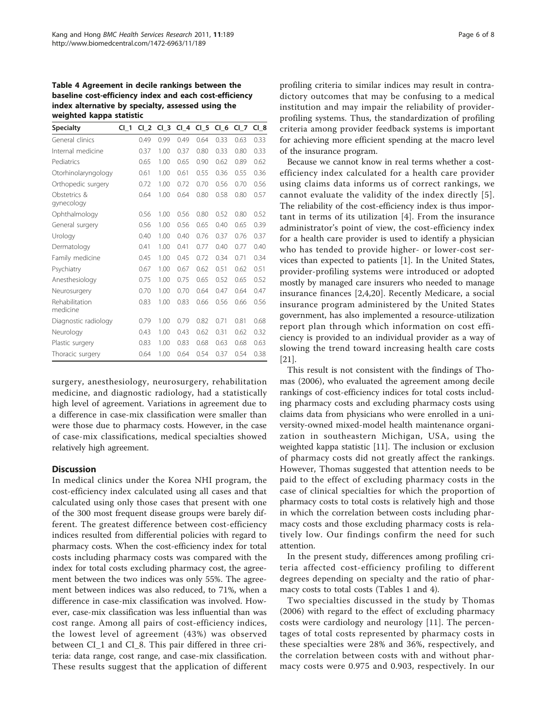#### <span id="page-5-0"></span>Table 4 Agreement in decile rankings between the baseline cost-efficiency index and each cost-efficiency index alternative by specialty, assessed using the weighted kappa statistic

| <b>Specialty</b>           | CI <sub>1</sub> | CI <sub>2</sub> | $CI_3$ | Cl <sub>4</sub> | CI <sub>5</sub> | $CI_6$ | $CI_7$ | $CI_8$ |
|----------------------------|-----------------|-----------------|--------|-----------------|-----------------|--------|--------|--------|
| General clinics            |                 | 0.49            | 0.99   | 0.49            | 0.64            | 0.33   | 0.63   | 0.33   |
| Internal medicine          |                 | 0.37            | 1.00   | 0.37            | 0.80            | 0.33   | 0.80   | 0.33   |
| Pediatrics                 |                 | 0.65            | 1.00   | 0.65            | 0.90            | 0.62   | 0.89   | 0.62   |
| Otorhinolaryngology        |                 | 0.61            | 1.00   | 0.61            | 0.55            | 0.36   | 0.55   | 0.36   |
| Orthopedic surgery         |                 | 0.72            | 1.00   | 0.72            | 0.70            | 0.56   | 0.70   | 0.56   |
| Obstetrics &<br>gynecology |                 | 0.64            | 1.00   | 0.64            | 0.80            | 0.58   | 0.80   | 0.57   |
| Ophthalmology              |                 | 0.56            | 1.00   | 0.56            | 0.80            | 0.52   | 0.80   | 0.52   |
| General surgery            |                 | 0.56            | 1.00   | 0.56            | 0.65            | 0.40   | 0.65   | 0.39   |
| Urology                    |                 | 0.40            | 1.00   | 0.40            | 0.76            | 0.37   | 0.76   | 0.37   |
| Dermatology                |                 | 0.41            | 1.00   | 0.41            | 0.77            | 0.40   | 0.77   | 0.40   |
| Family medicine            |                 | 0.45            | 1.00   | 0.45            | 0.72            | 0.34   | 0.71   | 0.34   |
| Psychiatry                 |                 | 0.67            | 1.00   | 0.67            | 0.62            | 0.51   | 0.62   | 0.51   |
| Anesthesiology             |                 | 0.75            | 1.00   | 0.75            | 0.65            | 0.52   | 0.65   | 0.52   |
| Neurosurgery               |                 | 0.70            | 1.00   | 0.70            | 0.64            | 0.47   | 0.64   | 0.47   |
| Rehabilitation<br>medicine |                 | 0.83            | 1.00   | 0.83            | 0.66            | 0.56   | 0.66   | 0.56   |
| Diagnostic radiology       |                 | 0.79            | 1.00   | 0.79            | 0.82            | 0.71   | 0.81   | 0.68   |
| Neurology                  |                 | 0.43            | 1.00   | 0.43            | 0.62            | 0.31   | 0.62   | 0.32   |
| Plastic surgery            |                 | 0.83            | 1.00   | 0.83            | 0.68            | 0.63   | 0.68   | 0.63   |
| Thoracic surgery           |                 | 0.64            | 1.00   | 0.64            | 0.54            | 0.37   | 0.54   | 0.38   |

surgery, anesthesiology, neurosurgery, rehabilitation medicine, and diagnostic radiology, had a statistically high level of agreement. Variations in agreement due to a difference in case-mix classification were smaller than were those due to pharmacy costs. However, in the case of case-mix classifications, medical specialties showed relatively high agreement.

#### **Discussion**

In medical clinics under the Korea NHI program, the cost-efficiency index calculated using all cases and that calculated using only those cases that present with one of the 300 most frequent disease groups were barely different. The greatest difference between cost-efficiency indices resulted from differential policies with regard to pharmacy costs. When the cost-efficiency index for total costs including pharmacy costs was compared with the index for total costs excluding pharmacy cost, the agreement between the two indices was only 55%. The agreement between indices was also reduced, to 71%, when a difference in case-mix classification was involved. However, case-mix classification was less influential than was cost range. Among all pairs of cost-efficiency indices, the lowest level of agreement (43%) was observed between CI\_1 and CI\_8. This pair differed in three criteria: data range, cost range, and case-mix classification. These results suggest that the application of different profiling criteria to similar indices may result in contradictory outcomes that may be confusing to a medical institution and may impair the reliability of providerprofiling systems. Thus, the standardization of profiling criteria among provider feedback systems is important for achieving more efficient spending at the macro level of the insurance program.

Because we cannot know in real terms whether a costefficiency index calculated for a health care provider using claims data informs us of correct rankings, we cannot evaluate the validity of the index directly [[5\]](#page-7-0). The reliability of the cost-efficiency index is thus important in terms of its utilization [[4](#page-7-0)]. From the insurance administrator's point of view, the cost-efficiency index for a health care provider is used to identify a physician who has tended to provide higher- or lower-cost services than expected to patients [\[1](#page-7-0)]. In the United States, provider-profiling systems were introduced or adopted mostly by managed care insurers who needed to manage insurance finances [[2,4,20](#page-7-0)]. Recently Medicare, a social insurance program administered by the United States government, has also implemented a resource-utilization report plan through which information on cost efficiency is provided to an individual provider as a way of slowing the trend toward increasing health care costs [[21\]](#page-7-0).

This result is not consistent with the findings of Thomas (2006), who evaluated the agreement among decile rankings of cost-efficiency indices for total costs including pharmacy costs and excluding pharmacy costs using claims data from physicians who were enrolled in a university-owned mixed-model health maintenance organization in southeastern Michigan, USA, using the weighted kappa statistic [[11](#page-7-0)]. The inclusion or exclusion of pharmacy costs did not greatly affect the rankings. However, Thomas suggested that attention needs to be paid to the effect of excluding pharmacy costs in the case of clinical specialties for which the proportion of pharmacy costs to total costs is relatively high and those in which the correlation between costs including pharmacy costs and those excluding pharmacy costs is relatively low. Our findings confirm the need for such attention.

In the present study, differences among profiling criteria affected cost-efficiency profiling to different degrees depending on specialty and the ratio of pharmacy costs to total costs (Tables [1](#page-2-0) and 4).

Two specialties discussed in the study by Thomas (2006) with regard to the effect of excluding pharmacy costs were cardiology and neurology [\[11](#page-7-0)]. The percentages of total costs represented by pharmacy costs in these specialties were 28% and 36%, respectively, and the correlation between costs with and without pharmacy costs were 0.975 and 0.903, respectively. In our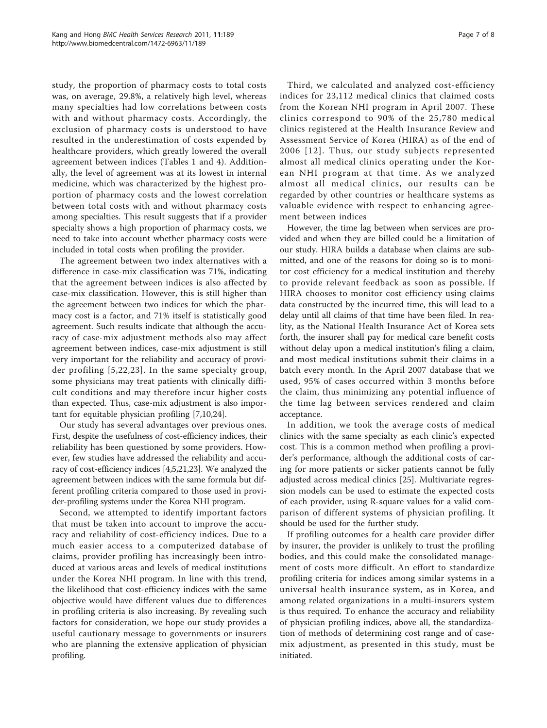study, the proportion of pharmacy costs to total costs was, on average, 29.8%, a relatively high level, whereas many specialties had low correlations between costs with and without pharmacy costs. Accordingly, the exclusion of pharmacy costs is understood to have resulted in the underestimation of costs expended by healthcare providers, which greatly lowered the overall agreement between indices (Tables [1](#page-2-0) and [4\)](#page-5-0). Additionally, the level of agreement was at its lowest in internal medicine, which was characterized by the highest proportion of pharmacy costs and the lowest correlation between total costs with and without pharmacy costs among specialties. This result suggests that if a provider specialty shows a high proportion of pharmacy costs, we need to take into account whether pharmacy costs were included in total costs when profiling the provider.

The agreement between two index alternatives with a difference in case-mix classification was 71%, indicating that the agreement between indices is also affected by case-mix classification. However, this is still higher than the agreement between two indices for which the pharmacy cost is a factor, and 71% itself is statistically good agreement. Such results indicate that although the accuracy of case-mix adjustment methods also may affect agreement between indices, case-mix adjustment is still very important for the reliability and accuracy of provider profiling [[5](#page-7-0),[22](#page-7-0),[23\]](#page-7-0). In the same specialty group, some physicians may treat patients with clinically difficult conditions and may therefore incur higher costs than expected. Thus, case-mix adjustment is also important for equitable physician profiling [[7,10,24\]](#page-7-0).

Our study has several advantages over previous ones. First, despite the usefulness of cost-efficiency indices, their reliability has been questioned by some providers. However, few studies have addressed the reliability and accuracy of cost-efficiency indices [\[4,5,21,23\]](#page-7-0). We analyzed the agreement between indices with the same formula but different profiling criteria compared to those used in provider-profiling systems under the Korea NHI program.

Second, we attempted to identify important factors that must be taken into account to improve the accuracy and reliability of cost-efficiency indices. Due to a much easier access to a computerized database of claims, provider profiling has increasingly been introduced at various areas and levels of medical institutions under the Korea NHI program. In line with this trend, the likelihood that cost-efficiency indices with the same objective would have different values due to differences in profiling criteria is also increasing. By revealing such factors for consideration, we hope our study provides a useful cautionary message to governments or insurers who are planning the extensive application of physician profiling.

Third, we calculated and analyzed cost-efficiency indices for 23,112 medical clinics that claimed costs from the Korean NHI program in April 2007. These clinics correspond to 90% of the 25,780 medical clinics registered at the Health Insurance Review and Assessment Service of Korea (HIRA) as of the end of 2006 [[12](#page-7-0)]. Thus, our study subjects represented almost all medical clinics operating under the Korean NHI program at that time. As we analyzed almost all medical clinics, our results can be regarded by other countries or healthcare systems as valuable evidence with respect to enhancing agreement between indices

However, the time lag between when services are provided and when they are billed could be a limitation of our study. HIRA builds a database when claims are submitted, and one of the reasons for doing so is to monitor cost efficiency for a medical institution and thereby to provide relevant feedback as soon as possible. If HIRA chooses to monitor cost efficiency using claims data constructed by the incurred time, this will lead to a delay until all claims of that time have been filed. In reality, as the National Health Insurance Act of Korea sets forth, the insurer shall pay for medical care benefit costs without delay upon a medical institution's filing a claim, and most medical institutions submit their claims in a batch every month. In the April 2007 database that we used, 95% of cases occurred within 3 months before the claim, thus minimizing any potential influence of the time lag between services rendered and claim acceptance.

In addition, we took the average costs of medical clinics with the same specialty as each clinic's expected cost. This is a common method when profiling a provider's performance, although the additional costs of caring for more patients or sicker patients cannot be fully adjusted across medical clinics [\[25](#page-7-0)]. Multivariate regression models can be used to estimate the expected costs of each provider, using R-square values for a valid comparison of different systems of physician profiling. It should be used for the further study.

If profiling outcomes for a health care provider differ by insurer, the provider is unlikely to trust the profiling bodies, and this could make the consolidated management of costs more difficult. An effort to standardize profiling criteria for indices among similar systems in a universal health insurance system, as in Korea, and among related organizations in a multi-insurers system is thus required. To enhance the accuracy and reliability of physician profiling indices, above all, the standardization of methods of determining cost range and of casemix adjustment, as presented in this study, must be initiated.